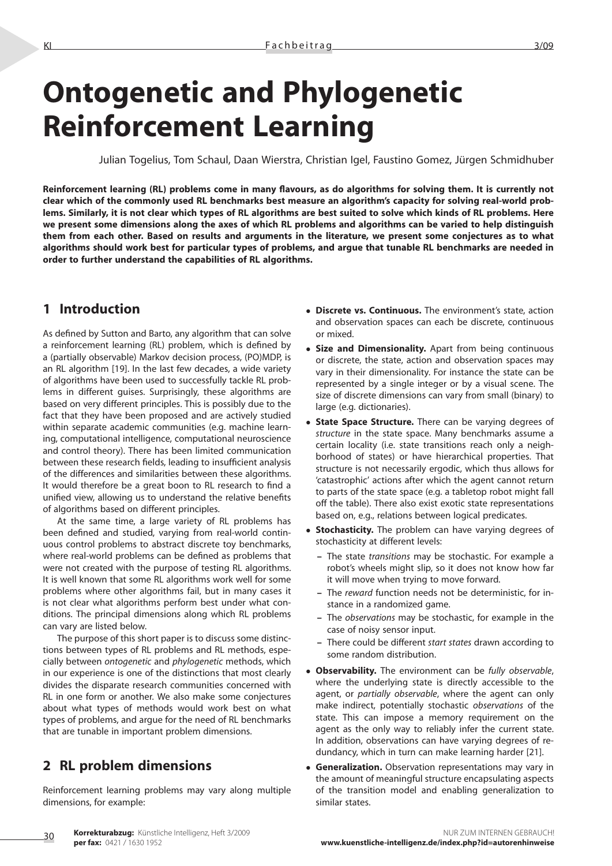# **Ontogenetic and Phylogenetic Reinforcement Learning**

Julian Togelius, Tom Schaul, Daan Wierstra, Christian Igel, Faustino Gomez, Jürgen Schmidhuber

**Reinforcement learning (RL) problems come in many flavours, as do algorithms for solving them. It is currently not clear which of the commonly used RL benchmarks best measure an algorithm's capacity for solving real-world problems. Similarly, it is not clear which types of RL algorithms are best suited to solve which kinds of RL problems. Here we present some dimensions along the axes of which RL problems and algorithms can be varied to help distinguish them from each other. Based on results and arguments in the literature, we present some conjectures as to what algorithms should work best for particular types of problems, and argue that tunable RL benchmarks are needed in order to further understand the capabilities of RL algorithms.**

## **1 Introduction**

As defined by Sutton and Barto, any algorithm that can solve a reinforcement learning (RL) problem, which is defined by a (partially observable) Markov decision process, (PO)MDP, is an RL algorithm [19]. In the last few decades, a wide variety of algorithms have been used to successfully tackle RL problems in different guises. Surprisingly, these algorithms are based on very different principles. This is possibly due to the fact that they have been proposed and are actively studied within separate academic communities (e.g. machine learning, computational intelligence, computational neuroscience and control theory). There has been limited communication between these research fields, leading to insufficient analysis of the differences and similarities between these algorithms. It would therefore be a great boon to RL research to find a unified view, allowing us to understand the relative benefits of algorithms based on different principles.

At the same time, a large variety of RL problems has been defined and studied, varying from real-world continuous control problems to abstract discrete toy benchmarks, where real-world problems can be defined as problems that were not created with the purpose of testing RL algorithms. It is well known that some RL algorithms work well for some problems where other algorithms fail, but in many cases it is not clear what algorithms perform best under what conditions. The principal dimensions along which RL problems can vary are listed below.

The purpose of this short paper is to discuss some distinctions between types of RL problems and RL methods, especially between *ontogenetic* and *phylogenetic* methods, which in our experience is one of the distinctions that most clearly divides the disparate research communities concerned with RL in one form or another. We also make some conjectures about what types of methods would work best on what types of problems, and argue for the need of RL benchmarks that are tunable in important problem dimensions.

## **2 RL problem dimensions**

30

Reinforcement learning problems may vary along multiple dimensions, for example:

- **Discrete vs. Continuous.** The environment's state, action and observation spaces can each be discrete, continuous or mixed.
- **Size and Dimensionality.** Apart from being continuous or discrete, the state, action and observation spaces may vary in their dimensionality. For instance the state can be represented by a single integer or by a visual scene. The size of discrete dimensions can vary from small (binary) to large (e.g. dictionaries).
- **State Space Structure.** There can be varying degrees of *structure* in the state space. Many benchmarks assume a certain locality (i.e. state transitions reach only a neighborhood of states) or have hierarchical properties. That structure is not necessarily ergodic, which thus allows for 'catastrophic' actions after which the agent cannot return to parts of the state space (e.g. a tabletop robot might fall off the table). There also exist exotic state representations based on, e.g., relations between logical predicates.
- **Stochasticity.** The problem can have varying degrees of stochasticity at different levels:
	- **–** The state *transitions* may be stochastic. For example a robot's wheels might slip, so it does not know how far it will move when trying to move forward.
	- **–** The *reward* function needs not be deterministic, for instance in a randomized game.
	- **–** The *observations* may be stochastic, for example in the case of noisy sensor input.
	- **–** There could be different *start states* drawn according to some random distribution.
- **Observability.** The environment can be *fully observable*, where the underlying state is directly accessible to the agent, or *partially observable*, where the agent can only make indirect, potentially stochastic *observations* of the state. This can impose a memory requirement on the agent as the only way to reliably infer the current state. In addition, observations can have varying degrees of redundancy, which in turn can make learning harder [21].
- **Generalization.** Observation representations may vary in the amount of meaningful structure encapsulating aspects of the transition model and enabling generalization to similar states.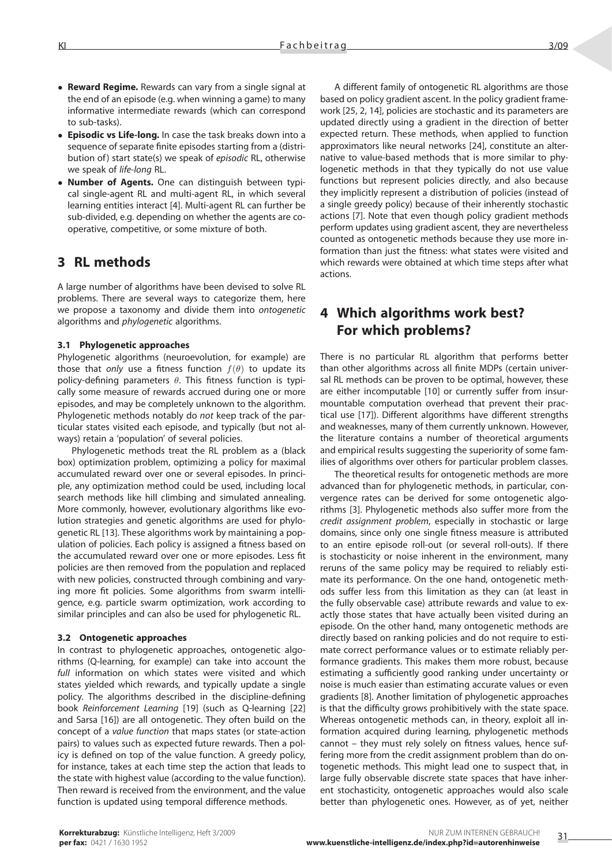- **Reward Regime.** Rewards can vary from a single signal at the end of an episode (e.g. when winning a game) to many informative intermediate rewards (which can correspond to sub-tasks).
- **Episodic vs Life-long.** In case the task breaks down into a sequence of separate finite episodes starting from a (distribution of) start state(s) we speak of *episodic* RL, otherwise we speak of *life-long* RL.
- **Number of Agents.** One can distinguish between typical single-agent RL and multi-agent RL, in which several learning entities interact [4]. Multi-agent RL can further be sub-divided, e.g. depending on whether the agents are cooperative, competitive, or some mixture of both.

## **3 RL methods**

A large number of algorithms have been devised to solve RL problems. There are several ways to categorize them, here we propose a taxonomy and divide them into *ontogenetic* algorithms and *phylogenetic* algorithms.

#### **3.1 Phylogenetic approaches**

Phylogenetic algorithms (neuroevolution, for example) are those that *only* use a fitness function  $f(\theta)$  to update its policy-defining parameters  $\theta$ . This fitness function is typically some measure of rewards accrued during one or more episodes, and may be completely unknown to the algorithm. Phylogenetic methods notably do *not* keep track of the particular states visited each episode, and typically (but not always) retain a 'population' of several policies.

Phylogenetic methods treat the RL problem as a (black box) optimization problem, optimizing a policy for maximal accumulated reward over one or several episodes. In principle, any optimization method could be used, including local search methods like hill climbing and simulated annealing. More commonly, however, evolutionary algorithms like evolution strategies and genetic algorithms are used for phylogenetic RL [13]. These algorithms work by maintaining a population of policies. Each policy is assigned a fitness based on the accumulated reward over one or more episodes. Less fit policies are then removed from the population and replaced with new policies, constructed through combining and varying more fit policies. Some algorithms from swarm intelligence, e.g. particle swarm optimization, work according to similar principles and can also be used for phylogenetic RL.

#### **3.2 Ontogenetic approaches**

In contrast to phylogenetic approaches, ontogenetic algorithms (Q-learning, for example) can take into account the *full* information on which states were visited and which states yielded which rewards, and typically update a single policy. The algorithms described in the discipline-defining book *Reinforcement Learning* [19] (such as Q-learning [22] and Sarsa [16]) are all ontogenetic. They often build on the concept of a *value function* that maps states (or state-action pairs) to values such as expected future rewards. Then a policy is defined on top of the value function. A greedy policy, for instance, takes at each time step the action that leads to the state with highest value (according to the value function). Then reward is received from the environment, and the value function is updated using temporal difference methods.

A different family of ontogenetic RL algorithms are those based on policy gradient ascent. In the policy gradient framework [25, 2, 14], policies are stochastic and its parameters are updated directly using a gradient in the direction of better expected return. These methods, when applied to function approximators like neural networks [24], constitute an alternative to value-based methods that is more similar to phylogenetic methods in that they typically do not use value functions but represent policies directly, and also because they implicitly represent a distribution of policies (instead of a single greedy policy) because of their inherently stochastic actions [7]. Note that even though policy gradient methods perform updates using gradient ascent, they are nevertheless counted as ontogenetic methods because they use more information than just the fitness: what states were visited and which rewards were obtained at which time steps after what actions.

# **4 Which algorithms work best? For which problems?**

There is no particular RL algorithm that performs better than other algorithms across all finite MDPs (certain universal RL methods can be proven to be optimal, however, these are either incomputable [10] or currently suffer from insurmountable computation overhead that prevent their practical use [17]). Different algorithms have different strengths and weaknesses, many of them currently unknown. However, the literature contains a number of theoretical arguments and empirical results suggesting the superiority of some families of algorithms over others for particular problem classes.

The theoretical results for ontogenetic methods are more advanced than for phylogenetic methods, in particular, convergence rates can be derived for some ontogenetic algorithms [3]. Phylogenetic methods also suffer more from the *credit assignment problem*, especially in stochastic or large domains, since only one single fitness measure is attributed to an entire episode roll-out (or several roll-outs). If there is stochasticity or noise inherent in the environment, many reruns of the same policy may be required to reliably estimate its performance. On the one hand, ontogenetic methods suffer less from this limitation as they can (at least in the fully observable case) attribute rewards and value to exactly those states that have actually been visited during an episode. On the other hand, many ontogenetic methods are directly based on ranking policies and do not require to estimate correct performance values or to estimate reliably performance gradients. This makes them more robust, because estimating a sufficiently good ranking under uncertainty or noise is much easier than estimating accurate values or even gradients [8]. Another limitation of phylogenetic approaches is that the difficulty grows prohibitively with the state space. Whereas ontogenetic methods can, in theory, exploit all information acquired during learning, phylogenetic methods cannot – they must rely solely on fitness values, hence suffering more from the credit assignment problem than do ontogenetic methods. This might lead one to suspect that, in large fully observable discrete state spaces that have inherent stochasticity, ontogenetic approaches would also scale better than phylogenetic ones. However, as of yet, neither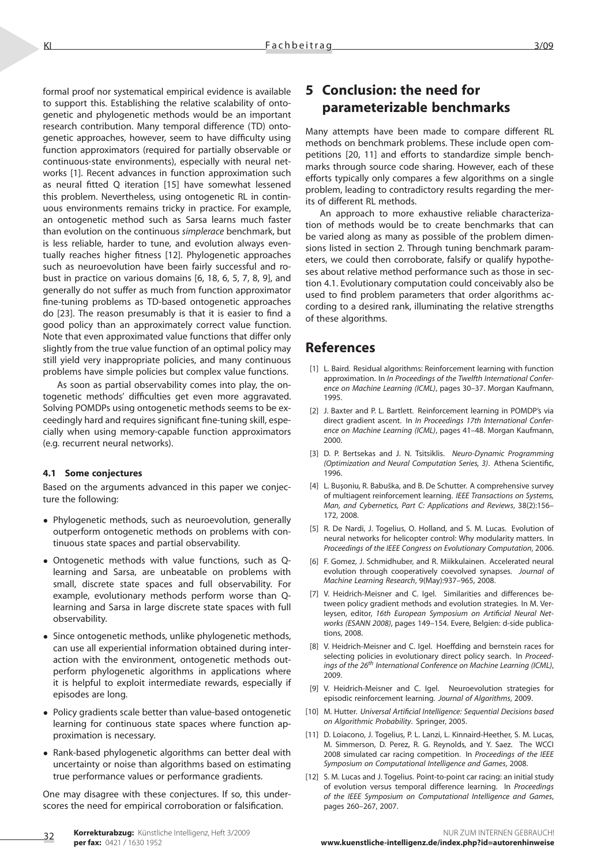formal proof nor systematical empirical evidence is available to support this. Establishing the relative scalability of ontogenetic and phylogenetic methods would be an important research contribution. Many temporal difference (TD) ontogenetic approaches, however, seem to have difficulty using function approximators (required for partially observable or continuous-state environments), especially with neural networks [1]. Recent advances in function approximation such as neural fitted Q iteration [15] have somewhat lessened this problem. Nevertheless, using ontogenetic RL in continuous environments remains tricky in practice. For example, an ontogenetic method such as Sarsa learns much faster than evolution on the continuous *simplerace* benchmark, but is less reliable, harder to tune, and evolution always eventually reaches higher fitness [12]. Phylogenetic approaches such as neuroevolution have been fairly successful and robust in practice on various domains [6, 18, 6, 5, 7, 8, 9], and generally do not suffer as much from function approximator fine-tuning problems as TD-based ontogenetic approaches do [23]. The reason presumably is that it is easier to find a good policy than an approximately correct value function. Note that even approximated value functions that differ only slightly from the true value function of an optimal policy may still yield very inappropriate policies, and many continuous problems have simple policies but complex value functions.

As soon as partial observability comes into play, the ontogenetic methods' difficulties get even more aggravated. Solving POMDPs using ontogenetic methods seems to be exceedingly hard and requires significant fine-tuning skill, especially when using memory-capable function approximators (e.g. recurrent neural networks).

#### **4.1 Some conjectures**

Based on the arguments advanced in this paper we conjecture the following:

- Phylogenetic methods, such as neuroevolution, generally outperform ontogenetic methods on problems with continuous state spaces and partial observability.
- Ontogenetic methods with value functions, such as Qlearning and Sarsa, are unbeatable on problems with small, discrete state spaces and full observability. For example, evolutionary methods perform worse than Qlearning and Sarsa in large discrete state spaces with full observability.
- Since ontogenetic methods, unlike phylogenetic methods, can use all experiential information obtained during interaction with the environment, ontogenetic methods outperform phylogenetic algorithms in applications where it is helpful to exploit intermediate rewards, especially if episodes are long.
- Policy gradients scale better than value-based ontogenetic learning for continuous state spaces where function approximation is necessary.
- Rank-based phylogenetic algorithms can better deal with uncertainty or noise than algorithms based on estimating true performance values or performance gradients.

One may disagree with these conjectures. If so, this underscores the need for empirical corroboration or falsification.

# **5 Conclusion: the need for parameterizable benchmarks**

Many attempts have been made to compare different RL methods on benchmark problems. These include open competitions [20, 11] and efforts to standardize simple benchmarks through source code sharing. However, each of these efforts typically only compares a few algorithms on a single problem, leading to contradictory results regarding the merits of different RL methods.

An approach to more exhaustive reliable characterization of methods would be to create benchmarks that can be varied along as many as possible of the problem dimensions listed in section 2. Through tuning benchmark parameters, we could then corroborate, falsify or qualify hypotheses about relative method performance such as those in section 4.1. Evolutionary computation could conceivably also be used to find problem parameters that order algorithms according to a desired rank, illuminating the relative strengths of these algorithms.

### **References**

- [1] L. Baird. Residual algorithms: Reinforcement learning with function approximation. In *In Proceedings of the Twelfth International Conference on Machine Learning (ICML)*, pages 30–37. Morgan Kaufmann, 1995.
- [2] J. Baxter and P. L. Bartlett. Reinforcement learning in POMDP's via direct gradient ascent. In *In Proceedings 17th International Conference on Machine Learning (ICML)*, pages 41–48. Morgan Kaufmann, 2000.
- [3] D. P. Bertsekas and J. N. Tsitsiklis. *Neuro-Dynamic Programming (Optimization and Neural Computation Series, 3)*. Athena Scientific, 1996.
- [4] L. Buşoniu, R. Babuška, and B. De Schutter. A comprehensive survey of multiagent reinforcement learning. *IEEE Transactions on Systems, Man, and Cybernetics, Part C: Applications and Reviews*, 38(2):156– 172, 2008.
- [5] R. De Nardi, J. Togelius, O. Holland, and S. M. Lucas. Evolution of neural networks for helicopter control: Why modularity matters. In *Proceedings of the IEEE Congress on Evolutionary Computation*, 2006.
- [6] F. Gomez, J. Schmidhuber, and R. Miikkulainen. Accelerated neural evolution through cooperatively coevolved synapses. *Journal of Machine Learning Research*, 9(May):937–965, 2008.
- [7] V. Heidrich-Meisner and C. Igel. Similarities and differences between policy gradient methods and evolution strategies. In M. Verleysen, editor, *16th European Symposium on Artificial Neural Networks (ESANN 2008)*, pages 149–154. Evere, Belgien: d-side publications, 2008.
- [8] V. Heidrich-Meisner and C. Igel. Hoeffding and bernstein races for selecting policies in evolutionary direct policy search. In *Proceedings of the 26th International Conference on Machine Learning (ICML)*, 2009.
- [9] V. Heidrich-Meisner and C. Igel. Neuroevolution strategies for episodic reinforcement learning. *Journal of Algorithms*, 2009.
- [10] M. Hutter. *Universal Artificial Intelligence: Sequential Decisions based on Algorithmic Probability*. Springer, 2005.
- [11] D. Loiacono, J. Togelius, P. L. Lanzi, L. Kinnaird-Heether, S. M. Lucas, M. Simmerson, D. Perez, R. G. Reynolds, and Y. Saez. The WCCI 2008 simulated car racing competition. In *Proceedings of the IEEE Symposium on Computational Intelligence and Games*, 2008.
- [12] S. M. Lucas and J. Togelius. Point-to-point car racing: an initial study of evolution versus temporal difference learning. In *Proceedings of the IEEE Symposium on Computational Intelligence and Games*, pages 260–267, 2007.